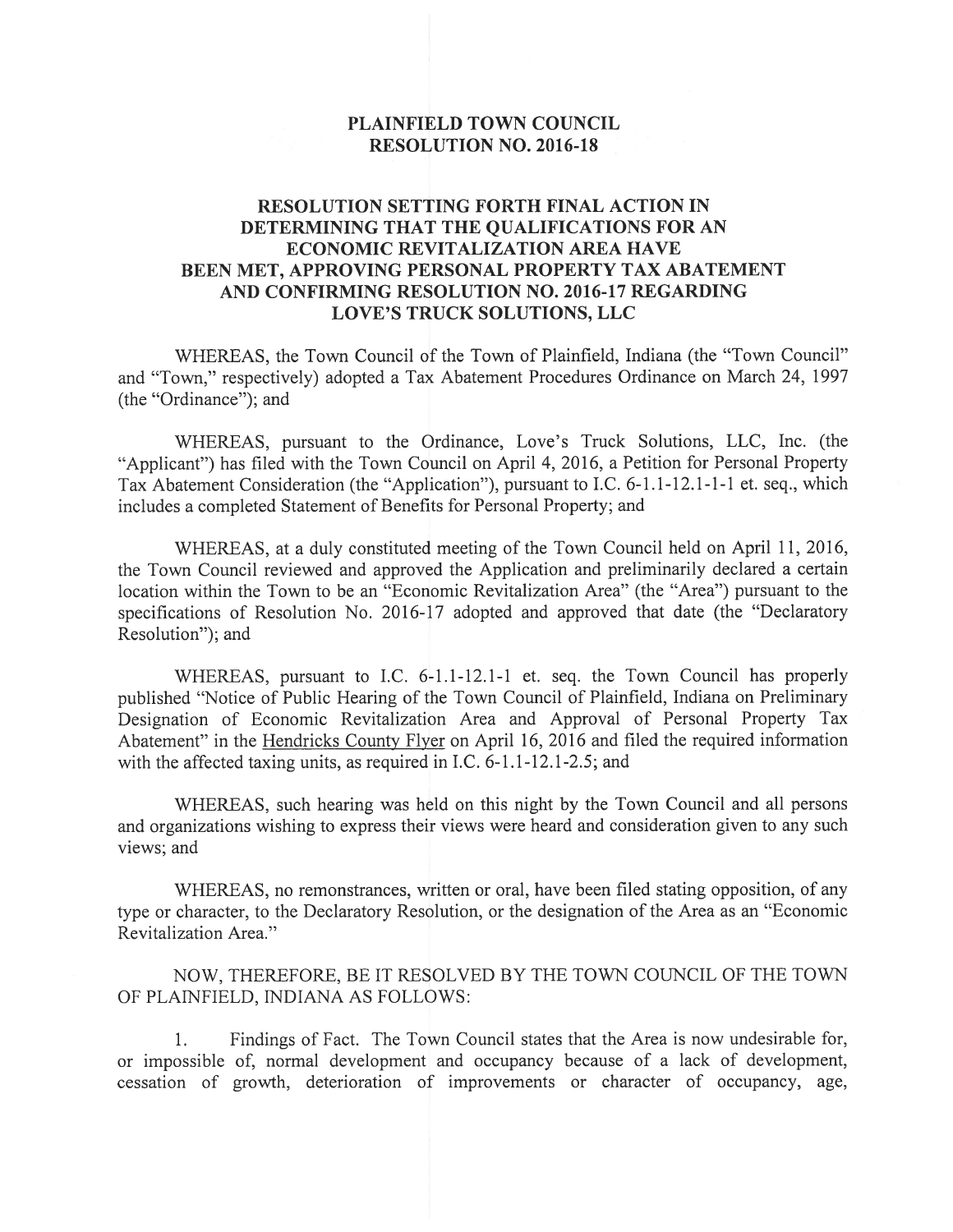## PLAINFIELD TOWN COUNCIL RESOLUTION NO. 2016-18

## RESOLUTION SETTING FORTH FINAL ACTION IN DETERMINING THAT THE QUALIFICATIONS FOR AN ECONOMIC REVITALIZATION AREA HAVE BEEN MET, APPROVING PERSONAL PROPERTY TAX ABATEMENT AND CONFIRMING RESOLUTION NO. 2016-17 REGARDING LOVE'S TRUCK SOLUTIONS, LLC

WHEREAS, the Town Council of the Town of Plainfield, Indiana (the "Town Council" and 'Town," respectively) adopted a Tax Abatement Procedures Ordinance on March 24, 1997 (the "Ordinance"); and

WHEREAS, pursuant to the Ordinance, Love's Truck Solutions, LLC, Inc. (the Applicant") has filed with the Town Council on April 4, 2016, a Petition for Personal Property Tax Abatement Consideration (the "Application"), pursuant to I.C. 6-1.1-12.1-1-1 et. seq., which includes a completed Statement of Benefits for Personal Property; and

WHEREAS, at a duly constituted meeting of the Town Council held on April 11, 2016, the Town Council reviewed and approved the Application and preliminarily declared a certain location within the Town to be an "Economic Revitalization Area" (the "Area") pursuant to the specifications of Resolution No. 2016-17 adopted and approved that date (the "Declaratory Resolution"); and

WHEREAS, pursuant to I.C. 6-1.1-12.1-1 et. seq. the Town Council has properly published "Notice of Public Hearing of the Town Council of Plainfield, Indiana on Preliminary Designation of Economic Revitalization Area and Approval of Personal Property Tax Abatement" in the Hendricks County Flyer on April 16, 2016 and filed the required information with the affected taxing units, as required in I.C. 6-1.1-12.1-2.5; and

WHEREAS, such hearing was held on this night by the Town Council and all persons and organizations wishing to express their views were heard and consideration given to any such views: and

WHEREAS, no remonstrances, written or oral, have been filed stating opposition, of any type or character, to the Declaratory Resolution, or the designation of the Area as an "Economic Revitalization Area."

NOW, THEREFORE, BE IT RESOLVED BY THE TOWN COUNCIL OF THE TOWN OF PLAINFIELD, INDIANA AS FOLLOWS:

1. Findings of Fact. The Town Council states that the Area is now undesirable for, or impossible of, normal development and occupancy because of a lack of development, cessation of growth, deterioration of improvements or character of occupancy, age,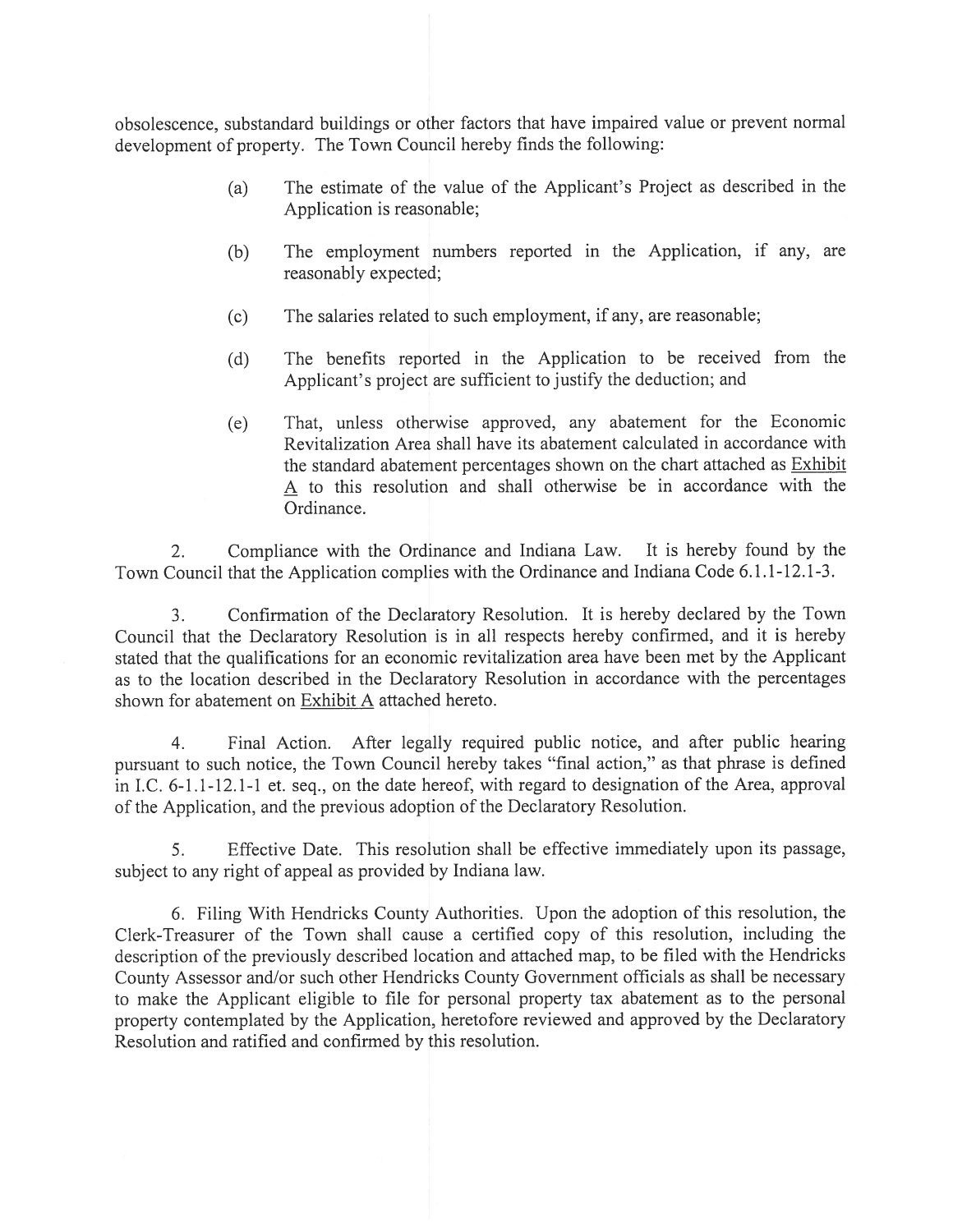obsolescence, substandard buildings or other factors that have impaired value or prevent normal development of property. The Town Council hereby finds the following:

- (a) The estimate of the value of the Applicant's Project as described in the Application is reasonable;
- (b) The employment numbers reported in the Application, if any, are reasonably expected;
- (c) The salaries related to such employment, if any, are reasonable;
- (d) The benefits reported in the Application to be received from the Applicant's project are sufficient to justify the deduction; and
- (e) That, unless otherwise approved, any abatement for the Economic Revitalization Area shall have its abatement calculated in accordance with the standard abatement percentages shown on the chart attached as Exhibit A to this resolution and shall otherwise be in accordance with the Ordinance.

2. Compliance with the Ordinance and Indiana Law. It is hereby found by the Town Council that the Application complies with the Ordinance and Indiana Code 6.1.1-12.1-3.

3. Confirmation of the Declaratory Resolution. It is hereby declared by the Town Council that the Declaratory Resolution is in all respects hereby confirmed, and it is hereby stated that the qualifications for an economic revitalization area have been met by the Applicant as to the location described in the Declaratory Resolution in accordance with the percentages shown for abatement on Exhibit A attached hereto.

4. Final Action. After legally required public notice, and after public hearing pursuant to such notice, the Town Council hereby takes "final action," as that phrase is defined in I.C. 6-1.1-12.1-1 et. seq., on the date hereof, with regard to designation of the Area, approval of the Application, and the previous adoption of the Declaratory Resolution.

5. Effective Date. This resolution shall be effective immediately upon its passage, subject to any right of appeal as provided by Indiana law.

6. Filing With Hendricks County Authorities. Upon the adoption of this resolution, the Clerk-Treasurer of the Town shall cause a certified copy of this resolution, including the description of the previously described location and attached map, to be filed with the Hendricks County Assessor and/or such other Hendricks County Government officials as shall be necessary to make the Applicant eligible to file for personal property tax abatement as to the personal property contemplated by the Application, heretofore reviewed and approved by the Declaratory Resolution and ratified and confirmed by this resolution.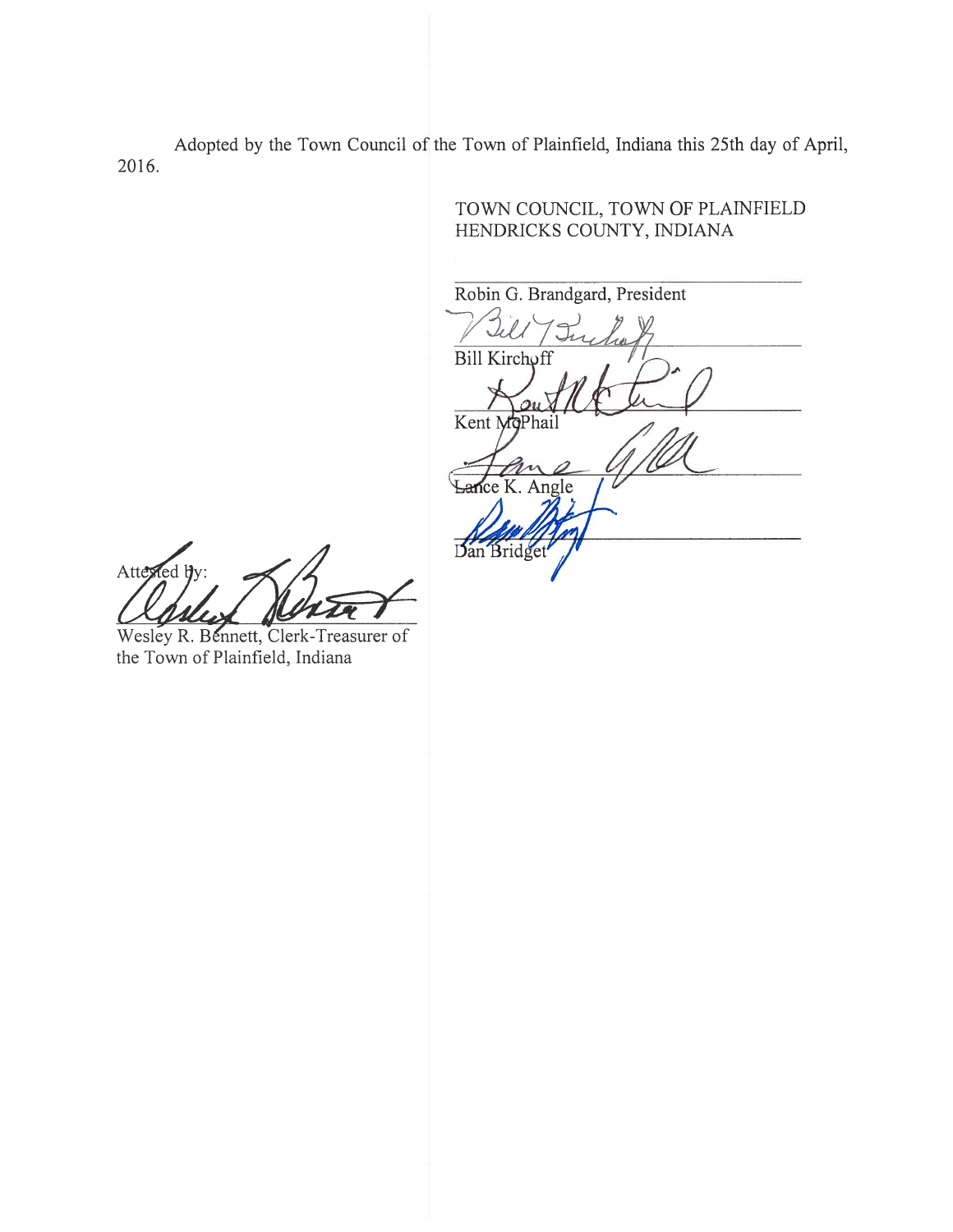Adopted by the Town Council of the Town of Plainfield, Indiana this 25th day of April, 2016.

HENDRICKS COUNTY, INDIANA Robin G. Brandgard, President Bill Kirchoff Kent MoPhai e K. Angle Dan Bridge

TOWN COUNCIL, TOWN OF PLAfNFIELD

Attested b

Wesley R. Bennett, Clerk-Treasurer of the Town of Plainfield, Indiana